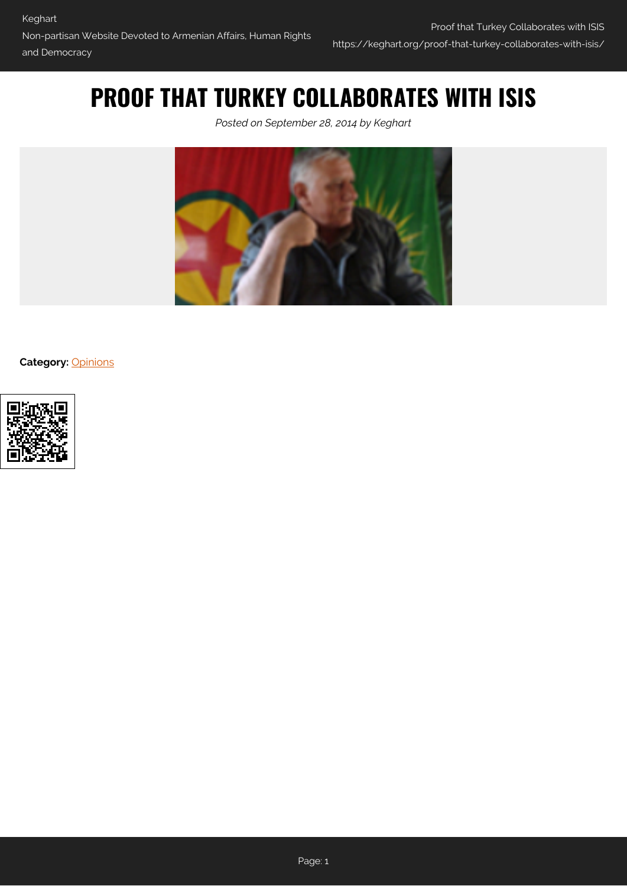## **PROOF THAT TURKEY COLLABORATES WITH ISIS**

*Posted on September 28, 2014 by Keghart*



**Category:** [Opinions](https://keghart.org/category/opinions/)

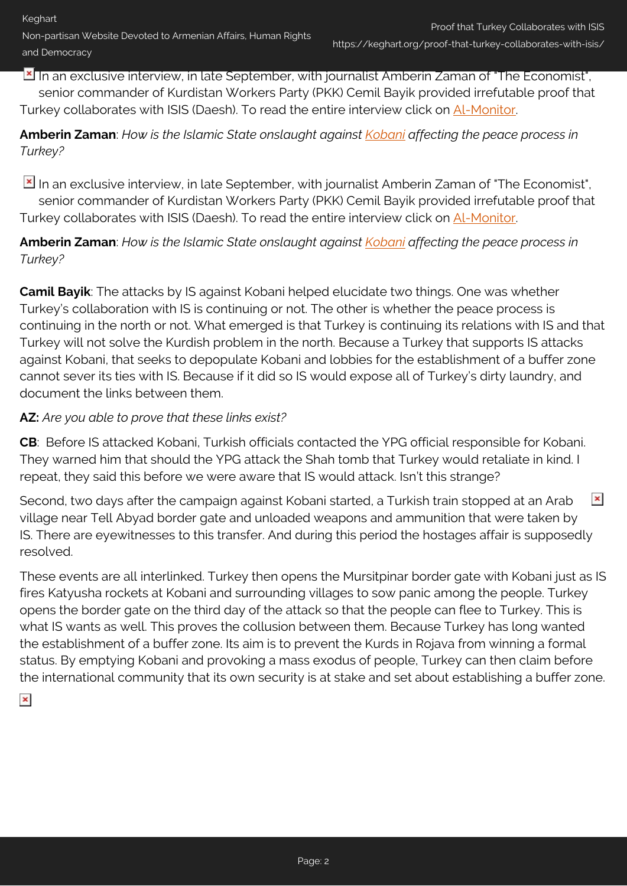In an exclusive interview, in late September, with journalist Amberin Zaman of "The Economist", senior commander of Kurdistan Workers Party (PKK) Cemil Bayik provided irrefutable proof that Turkey collaborates with ISIS (Daesh). To read the entire interview click on [Al-Monitor.](http://www.al-monitor.com/pulse/originals/2014/09/turkey-pkk-commander-bayik-threatens-resume-war.html#ixzz3EamyUsXQ)

## **Amberin Zaman**: *How is the Islamic State onslaught against [Kobani](http://en.wikipedia.org/wiki/Ayn_al-Arab) affecting the peace process in Turkey?*

In an exclusive interview, in late September, with journalist Amberin Zaman of "The Economist", senior commander of Kurdistan Workers Party (PKK) Cemil Bayik provided irrefutable proof that Turkey collaborates with ISIS (Daesh). To read the entire interview click on [Al-Monitor.](http://www.al-monitor.com/pulse/originals/2014/09/turkey-pkk-commander-bayik-threatens-resume-war.html#ixzz3EamyUsXQ)

**Amberin Zaman**: *How is the Islamic State onslaught against [Kobani](http://en.wikipedia.org/wiki/Ayn_al-Arab) affecting the peace process in Turkey?*

**Camil Bayik**: The attacks by IS against Kobani helped elucidate two things. One was whether Turkey's collaboration with IS is continuing or not. The other is whether the peace process is continuing in the north or not. What emerged is that Turkey is continuing its relations with IS and that Turkey will not solve the Kurdish problem in the north. Because a Turkey that supports IS attacks against Kobani, that seeks to depopulate Kobani and lobbies for the establishment of a buffer zone cannot sever its ties with IS. Because if it did so IS would expose all of Turkey's dirty laundry, and document the links between them.

## **AZ:** *Are you able to prove that these links exist?*

**CB**: Before IS attacked Kobani, Turkish officials contacted the YPG official responsible for Kobani. They warned him that should the YPG attack the Shah tomb that Turkey would retaliate in kind. I repeat, they said this before we were aware that IS would attack. Isn't this strange?

 $\pmb{\times}$ Second, two days after the campaign against Kobani started, a Turkish train stopped at an Arab village near Tell Abyad border gate and unloaded weapons and ammunition that were taken by IS. There are eyewitnesses to this transfer. And during this period the hostages affair is supposedly resolved.

These events are all interlinked. Turkey then opens the Mursitpinar border gate with Kobani just as IS fires Katyusha rockets at Kobani and surrounding villages to sow panic among the people. Turkey opens the border gate on the third day of the attack so that the people can flee to Turkey. This is what IS wants as well. This proves the collusion between them. Because Turkey has long wanted the establishment of a buffer zone. Its aim is to prevent the Kurds in Rojava from winning a formal status. By emptying Kobani and provoking a mass exodus of people, Turkey can then claim before the international community that its own security is at stake and set about establishing a buffer zone.

 $\pmb{\times}$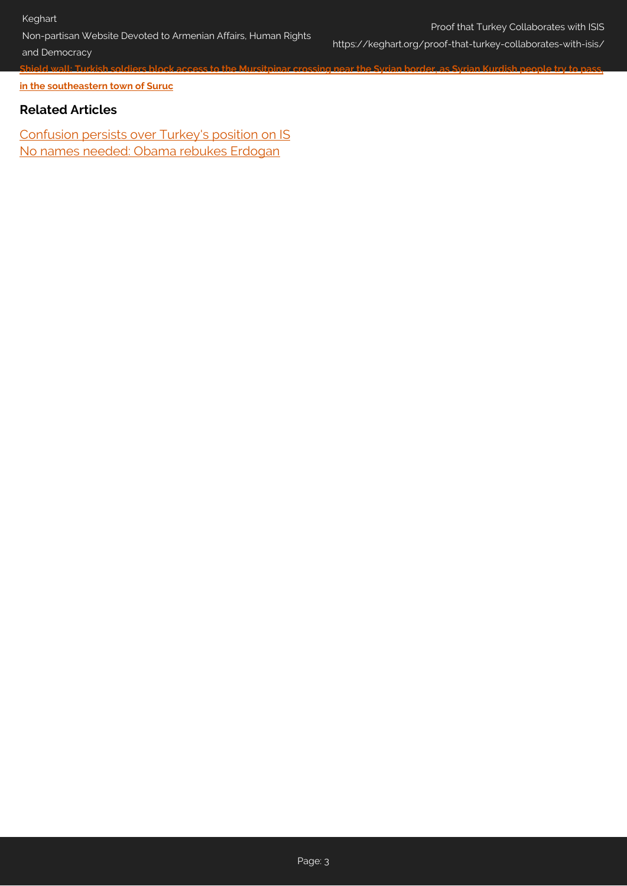Non-partisan Website Devoted to Armenian Affairs, Human Rights

**[Shield wall: Turkish soldiers block access to the Mursitpinar crossing near the Syrian border, as Syrian Kurdish people try to pass,](http://www.dailymail.co.uk/news/article-2772598/Turkey-refugee-crisis-deepens-Islamic-State-besieges-Syrian-border-town.html#i-20a41784de01497f)**

Proof that Turkey Collaborates with ISIS https://keghart.org/proof-that-turkey-collaborates-with-isis/

and Democracy

**[in the southeastern town of Suruc](http://www.dailymail.co.uk/news/article-2772598/Turkey-refugee-crisis-deepens-Islamic-State-besieges-Syrian-border-town.html#i-20a41784de01497f)**

## **Related Articles**

[Confusion persists over Turkey's position on IS](http://www.al-monitor.com/pulse/originals/2014/09/turkey-united-states-isis-position-confusion-erdogan.html) [No names needed: Obama rebukes Erdogan](http://www.al-monitor.com/pulse/originals/2014/09/turkey-united-states-un-erdogan-obama.html)